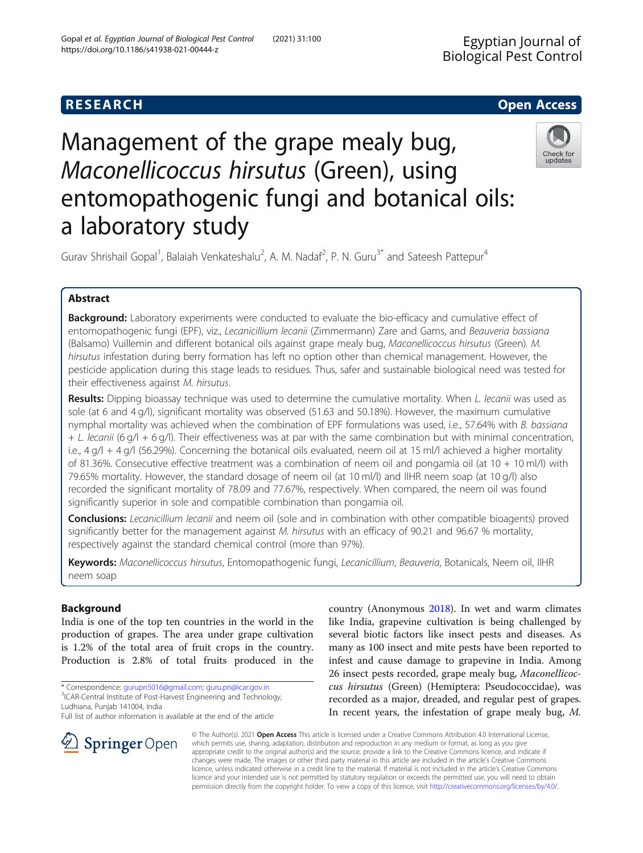https://doi.org/10.1186/s41938-021-00444-z

Gopal et al. Egyptian Journal of Biological Pest Control (2021) 31:100

# Management of the grape mealy bug, Maconellicoccus hirsutus (Green), using entomopathogenic fungi and botanical oils: a laboratory study



Gurav Shrishail Gopal<sup>1</sup>, Balaiah Venkateshalu<sup>2</sup>, A. M. Nadaf<sup>2</sup>, P. N. Guru<sup>3\*</sup> and Sateesh Pattepur<sup>4</sup>

# Abstract

Background: Laboratory experiments were conducted to evaluate the bio-efficacy and cumulative effect of entomopathogenic fungi (EPF), viz., Lecanicillium lecanii (Zimmermann) Zare and Gams, and Beauveria bassiana (Balsamo) Vuillemin and different botanical oils against grape mealy bug, Maconellicoccus hirsutus (Green). M. hirsutus infestation during berry formation has left no option other than chemical management. However, the pesticide application during this stage leads to residues. Thus, safer and sustainable biological need was tested for their effectiveness against M. hirsutus.

Results: Dipping bioassay technique was used to determine the cumulative mortality. When L. lecanii was used as sole (at 6 and 4 g/l), significant mortality was observed (51.63 and 50.18%). However, the maximum cumulative nymphal mortality was achieved when the combination of EPF formulations was used, i.e., 57.64% with B. bassiana  $+$  L. lecanii (6 g/l + 6 g/l). Their effectiveness was at par with the same combination but with minimal concentration, i.e.,  $4 g/l + 4 g/l$  (56.29%). Concerning the botanical oils evaluated, neem oil at 15 ml/l achieved a higher mortality of 81.36%. Consecutive effective treatment was a combination of neem oil and pongamia oil (at 10 + 10 ml/l) with 79.65% mortality. However, the standard dosage of neem oil (at 10 ml/l) and IIHR neem soap (at 10 g/l) also recorded the significant mortality of 78.09 and 77.67%, respectively. When compared, the neem oil was found significantly superior in sole and compatible combination than pongamia oil.

Conclusions: Lecanicillium lecanii and neem oil (sole and in combination with other compatible bioagents) proved significantly better for the management against M. hirsutus with an efficacy of 90.21 and 96.67 % mortality, respectively against the standard chemical control (more than 97%).

Keywords: Maconellicoccus hirsutus, Entomopathogenic fungi, Lecanicillium, Beauveria, Botanicals, Neem oil, IIHR neem soap

# Background

India is one of the top ten countries in the world in the production of grapes. The area under grape cultivation is 1.2% of the total area of fruit crops in the country. Production is 2.8% of total fruits produced in the

\* Correspondence: [gurupn5016@gmail.com;](mailto:gurupn5016@gmail.com) [guru.pn@icar.gov.in](mailto:guru.pn@icar.gov.in) <sup>3</sup> <sup>3</sup>ICAR-Central Institute of Post-Harvest Engineering and Technology, Ludhiana, Punjab 141004, India

Full list of author information is available at the end of the article

country (Anonymous [2018](#page-7-0)). In wet and warm climates like India, grapevine cultivation is being challenged by several biotic factors like insect pests and diseases. As many as 100 insect and mite pests have been reported to infest and cause damage to grapevine in India. Among 26 insect pests recorded, grape mealy bug, Maconellicoccus hirsutus (Green) (Hemiptera: Pseudococcidae), was recorded as a major, dreaded, and regular pest of grapes. In recent years, the infestation of grape mealy bug, M.



© The Author(s). 2021 Open Access This article is licensed under a Creative Commons Attribution 4.0 International License, which permits use, sharing, adaptation, distribution and reproduction in any medium or format, as long as you give appropriate credit to the original author(s) and the source, provide a link to the Creative Commons licence, and indicate if changes were made. The images or other third party material in this article are included in the article's Creative Commons licence, unless indicated otherwise in a credit line to the material. If material is not included in the article's Creative Commons licence and your intended use is not permitted by statutory regulation or exceeds the permitted use, you will need to obtain permission directly from the copyright holder. To view a copy of this licence, visit <http://creativecommons.org/licenses/by/4.0/>.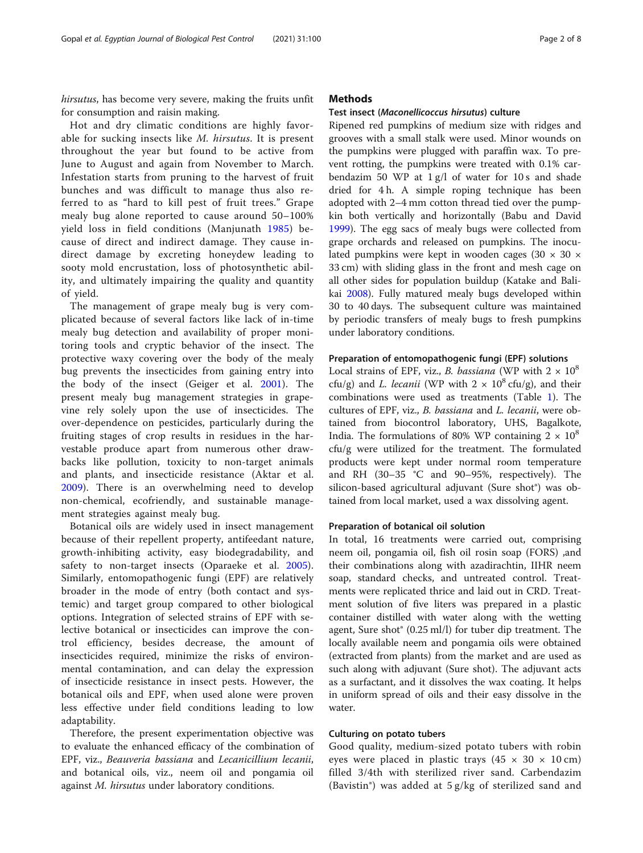hirsutus, has become very severe, making the fruits unfit for consumption and raisin making.

Hot and dry climatic conditions are highly favorable for sucking insects like M. hirsutus. It is present throughout the year but found to be active from June to August and again from November to March. Infestation starts from pruning to the harvest of fruit bunches and was difficult to manage thus also referred to as "hard to kill pest of fruit trees." Grape mealy bug alone reported to cause around 50–100% yield loss in field conditions (Manjunath [1985](#page-7-0)) because of direct and indirect damage. They cause indirect damage by excreting honeydew leading to sooty mold encrustation, loss of photosynthetic ability, and ultimately impairing the quality and quantity of yield.

The management of grape mealy bug is very complicated because of several factors like lack of in-time mealy bug detection and availability of proper monitoring tools and cryptic behavior of the insect. The protective waxy covering over the body of the mealy bug prevents the insecticides from gaining entry into the body of the insect (Geiger et al. [2001](#page-7-0)). The present mealy bug management strategies in grapevine rely solely upon the use of insecticides. The over-dependence on pesticides, particularly during the fruiting stages of crop results in residues in the harvestable produce apart from numerous other drawbacks like pollution, toxicity to non-target animals and plants, and insecticide resistance (Aktar et al. [2009\)](#page-7-0). There is an overwhelming need to develop non-chemical, ecofriendly, and sustainable management strategies against mealy bug.

Botanical oils are widely used in insect management because of their repellent property, antifeedant nature, growth-inhibiting activity, easy biodegradability, and safety to non-target insects (Oparaeke et al. [2005](#page-7-0)). Similarly, entomopathogenic fungi (EPF) are relatively broader in the mode of entry (both contact and systemic) and target group compared to other biological options. Integration of selected strains of EPF with selective botanical or insecticides can improve the control efficiency, besides decrease, the amount of insecticides required, minimize the risks of environmental contamination, and can delay the expression of insecticide resistance in insect pests. However, the botanical oils and EPF, when used alone were proven less effective under field conditions leading to low adaptability.

Therefore, the present experimentation objective was to evaluate the enhanced efficacy of the combination of EPF, viz., Beauveria bassiana and Lecanicillium lecanii, and botanical oils, viz., neem oil and pongamia oil against *M. hirsutus* under laboratory conditions.

# **Methods**

#### Test insect (Maconellicoccus hirsutus) culture

Ripened red pumpkins of medium size with ridges and grooves with a small stalk were used. Minor wounds on the pumpkins were plugged with paraffin wax. To prevent rotting, the pumpkins were treated with 0.1% carbendazim 50 WP at 1 g/l of water for 10 s and shade dried for 4 h. A simple roping technique has been adopted with 2–4 mm cotton thread tied over the pumpkin both vertically and horizontally (Babu and David [1999](#page-7-0)). The egg sacs of mealy bugs were collected from grape orchards and released on pumpkins. The inoculated pumpkins were kept in wooden cages (30  $\times$  30  $\times$ 33 cm) with sliding glass in the front and mesh cage on all other sides for population buildup (Katake and Balikai [2008\)](#page-7-0). Fully matured mealy bugs developed within 30 to 40 days. The subsequent culture was maintained by periodic transfers of mealy bugs to fresh pumpkins under laboratory conditions.

#### Preparation of entomopathogenic fungi (EPF) solutions

Local strains of EPF, viz., *B. bassiana* (WP with  $2 \times 10^8$ cfu/g) and *L. lecanii* (WP with  $2 \times 10^8$  cfu/g), and their combinations were used as treatments (Table [1\)](#page-2-0). The cultures of EPF, viz., B. bassiana and L. lecanii, were obtained from biocontrol laboratory, UHS, Bagalkote, India. The formulations of 80% WP containing  $2 \times 10^8$ cfu/g were utilized for the treatment. The formulated products were kept under normal room temperature and RH (30–35 °C and 90–95%, respectively). The silicon-based agricultural adjuvant (Sure shot®) was obtained from local market, used a wax dissolving agent.

#### Preparation of botanical oil solution

In total, 16 treatments were carried out, comprising neem oil, pongamia oil, fish oil rosin soap (FORS) ,and their combinations along with azadirachtin, IIHR neem soap, standard checks, and untreated control. Treatments were replicated thrice and laid out in CRD. Treatment solution of five liters was prepared in a plastic container distilled with water along with the wetting agent, Sure shot® (0.25 ml/l) for tuber dip treatment. The locally available neem and pongamia oils were obtained (extracted from plants) from the market and are used as such along with adjuvant (Sure shot). The adjuvant acts as a surfactant, and it dissolves the wax coating. It helps in uniform spread of oils and their easy dissolve in the water.

# Culturing on potato tubers

Good quality, medium-sized potato tubers with robin eyes were placed in plastic trays  $(45 \times 30 \times 10 \text{ cm})$ filled 3/4th with sterilized river sand. Carbendazim (Bavistin®) was added at 5 g/kg of sterilized sand and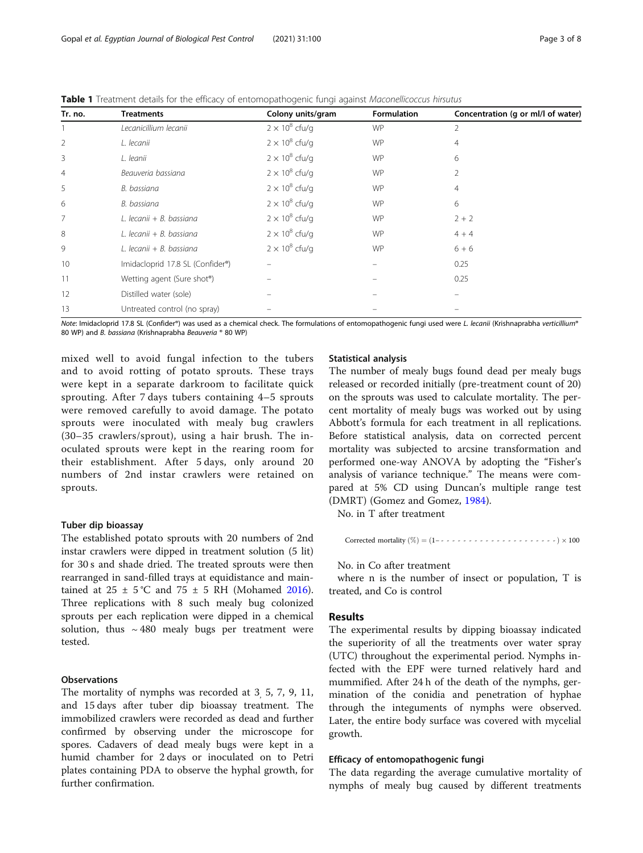| Tr. no.        | <b>Treatments</b>                | Colony units/gram     | Formulation | Concentration (g or ml/l of water) |
|----------------|----------------------------------|-----------------------|-------------|------------------------------------|
|                | Lecanicillium lecanii            | $2 \times 10^8$ cfu/g | <b>WP</b>   | 2                                  |
| 2              | L. lecanii                       | $2 \times 10^8$ cfu/g | <b>WP</b>   | 4                                  |
| 3              | L. leanii                        | $2 \times 10^8$ cfu/g | <b>WP</b>   | 6                                  |
| $\overline{4}$ | Beauveria bassiana               | $2 \times 10^8$ cfu/g | <b>WP</b>   | 2                                  |
| 5              | B. bassiana                      | $2 \times 10^8$ cfu/g | <b>WP</b>   | 4                                  |
| 6              | B. bassiana                      | $2 \times 10^8$ cfu/g | <b>WP</b>   | 6                                  |
| 7              | L. lecanii + B. bassiana         | $2 \times 10^8$ cfu/g | <b>WP</b>   | $2 + 2$                            |
| 8              | L. lecanii + B. bassiana         | $2 \times 10^8$ cfu/g | <b>WP</b>   | $4 + 4$                            |
| 9              | L. lecanii + B. bassiana         | $2 \times 10^8$ cfu/g | <b>WP</b>   | $6 + 6$                            |
| 10             | Imidacloprid 17.8 SL (Confider®) |                       |             | 0.25                               |
| 11             | Wetting agent (Sure shot®)       |                       |             | 0.25                               |
| 12             | Distilled water (sole)           |                       |             |                                    |
| 13             | Untreated control (no spray)     |                       |             |                                    |

<span id="page-2-0"></span>Table 1 Treatment details for the efficacy of entomopathogenic fungi against Maconellicoccus hirsutus

Note: Imidacloprid 17.8 SL (Confider®) was used as a chemical check. The formulations of entomopathogenic fungi used were L. lecanii (Krishnaprabha verticillium® 80 WP) and B. bassiana (Krishnaprabha Beauveria ® 80 WP)

mixed well to avoid fungal infection to the tubers and to avoid rotting of potato sprouts. These trays were kept in a separate darkroom to facilitate quick sprouting. After 7 days tubers containing 4–5 sprouts were removed carefully to avoid damage. The potato sprouts were inoculated with mealy bug crawlers (30–35 crawlers/sprout), using a hair brush. The inoculated sprouts were kept in the rearing room for their establishment. After 5 days, only around 20 numbers of 2nd instar crawlers were retained on sprouts.

#### Tuber dip bioassay

The established potato sprouts with 20 numbers of 2nd instar crawlers were dipped in treatment solution (5 lit) for 30 s and shade dried. The treated sprouts were then rearranged in sand-filled trays at equidistance and maintained at  $25 \pm 5$  °C and  $75 \pm 5$  RH (Mohamed [2016](#page-7-0)). Three replications with 8 such mealy bug colonized sprouts per each replication were dipped in a chemical solution, thus  $\sim$  480 mealy bugs per treatment were tested.

#### **Observations**

The mortality of nymphs was recorded at 3, 5, 7, 9, 11, and 15 days after tuber dip bioassay treatment. The immobilized crawlers were recorded as dead and further confirmed by observing under the microscope for spores. Cadavers of dead mealy bugs were kept in a humid chamber for 2 days or inoculated on to Petri plates containing PDA to observe the hyphal growth, for further confirmation.

### Statistical analysis

The number of mealy bugs found dead per mealy bugs released or recorded initially (pre-treatment count of 20) on the sprouts was used to calculate mortality. The percent mortality of mealy bugs was worked out by using Abbott's formula for each treatment in all replications. Before statistical analysis, data on corrected percent mortality was subjected to arcsine transformation and performed one-way ANOVA by adopting the "Fisher's analysis of variance technique." The means were compared at 5% CD using Duncan's multiple range test (DMRT) (Gomez and Gomez, [1984](#page-7-0)).

No. in T after treatment

Corrected mortality ð Þ¼ % ð Þ-1− --------------------- 100

#### No. in Co after treatment

where n is the number of insect or population, T is treated, and Co is control

# Results

The experimental results by dipping bioassay indicated the superiority of all the treatments over water spray (UTC) throughout the experimental period. Nymphs infected with the EPF were turned relatively hard and mummified. After 24 h of the death of the nymphs, germination of the conidia and penetration of hyphae through the integuments of nymphs were observed. Later, the entire body surface was covered with mycelial growth.

# Efficacy of entomopathogenic fungi

The data regarding the average cumulative mortality of nymphs of mealy bug caused by different treatments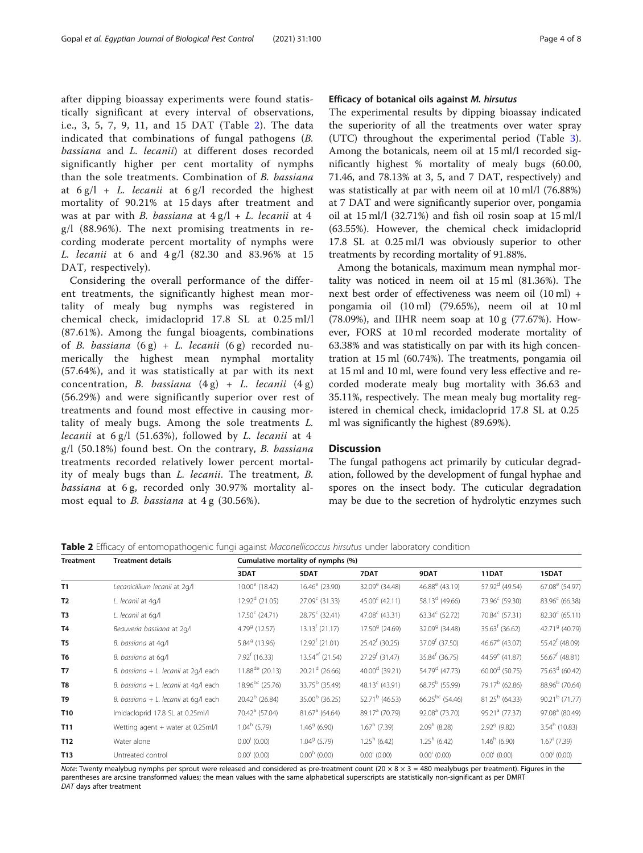after dipping bioassay experiments were found statistically significant at every interval of observations, i.e., 3, 5, 7, 9, 11, and 15 DAT (Table 2). The data indicated that combinations of fungal pathogens (B. bassiana and L. lecanii) at different doses recorded significantly higher per cent mortality of nymphs than the sole treatments. Combination of B. bassiana at  $6 g/l + L$ . *lecanii* at  $6 g/l$  recorded the highest mortality of 90.21% at 15 days after treatment and was at par with B. bassiana at  $4 g/l + L$ . lecanii at  $4$ g/l (88.96%). The next promising treatments in recording moderate percent mortality of nymphs were L. lecanii at 6 and 4 g/l (82.30 and 83.96% at 15 DAT, respectively).

Considering the overall performance of the different treatments, the significantly highest mean mortality of mealy bug nymphs was registered in chemical check, imidacloprid 17.8 SL at 0.25 ml/l (87.61%). Among the fungal bioagents, combinations of B. bassiana  $(6 g) + L$ . lecanii  $(6 g)$  recorded numerically the highest mean nymphal mortality (57.64%), and it was statistically at par with its next concentration, B. bassiana  $(4 g) + L$ . lecanii  $(4 g)$ (56.29%) and were significantly superior over rest of treatments and found most effective in causing mortality of mealy bugs. Among the sole treatments L. lecanii at  $6 \text{ g/l}$  (51.63%), followed by *L. lecanii* at 4  $g/l$  (50.18%) found best. On the contrary, B. bassiana treatments recorded relatively lower percent mortality of mealy bugs than L. lecanii. The treatment, B. bassiana at 6 g, recorded only 30.97% mortality almost equal to *B. bassiana* at  $4g(30.56\%).$ 

# Efficacy of botanical oils against M. hirsutus

The experimental results by dipping bioassay indicated the superiority of all the treatments over water spray (UTC) throughout the experimental period (Table [3](#page-4-0)). Among the botanicals, neem oil at 15 ml/l recorded significantly highest % mortality of mealy bugs (60.00, 71.46, and 78.13% at 3, 5, and 7 DAT, respectively) and was statistically at par with neem oil at 10 ml/l (76.88%) at 7 DAT and were significantly superior over, pongamia oil at 15 ml/l (32.71%) and fish oil rosin soap at 15 ml/l (63.55%). However, the chemical check imidacloprid 17.8 SL at 0.25 ml/l was obviously superior to other treatments by recording mortality of 91.88%.

Among the botanicals, maximum mean nymphal mortality was noticed in neem oil at 15 ml (81.36%). The next best order of effectiveness was neem oil (10 ml) + pongamia oil (10 ml) (79.65%), neem oil at 10 ml (78.09%), and IIHR neem soap at 10 g (77.67%). However, FORS at 10 ml recorded moderate mortality of 63.38% and was statistically on par with its high concentration at 15 ml (60.74%). The treatments, pongamia oil at 15 ml and 10 ml, were found very less effective and recorded moderate mealy bug mortality with 36.63 and 35.11%, respectively. The mean mealy bug mortality registered in chemical check, imidacloprid 17.8 SL at 0.25 ml was significantly the highest (89.69%).

# **Discussion**

The fungal pathogens act primarily by cuticular degradation, followed by the development of fungal hyphae and spores on the insect body. The cuticular degradation may be due to the secretion of hydrolytic enzymes such

| Treatment       | <b>Treatment details</b>              | Cumulative mortality of nymphs (%) |                         |                            |                            |                            |                            |  |
|-----------------|---------------------------------------|------------------------------------|-------------------------|----------------------------|----------------------------|----------------------------|----------------------------|--|
|                 |                                       | 3DAT                               | 5DAT                    | 7DAT                       | 9DAT                       | 11DAT                      | 15DAT                      |  |
| T <sub>1</sub>  | Lecanicillium lecanii at 2q/l         | $10.00^{\circ}$ (18.42)            | $16.46^{\circ}$ (23.90) | $32.09^e$ (34.48)          | 46.88 $^{\circ}$ (43.19)   | $57.92d$ (49.54)           | 67.08 <sup>e</sup> (54.97) |  |
| T <sub>2</sub>  | L. lecanii at 4q/l                    | $12.92d$ (21.05)                   | $27.09c$ (31.33)        | 45.00 $^{\circ}$ (42.11)   | 58.13 $^d$ (49.66)         | 73.96° (59.30)             | $83.96^{\circ}$ (66.38)    |  |
| T <sub>3</sub>  | L. lecanii at 6q/l                    | $17.50^{\circ}$ (24.71)            | $28.75^{\circ}$ (32.41) | 47.08 $^{\circ}$ (43.31)   | $63.34^c$ (52.72)          | 70.84 <sup>c</sup> (57.31) | $82.30^{\circ}$ (65.11)    |  |
| T4              | Beauveria bassiana at 2q/l            | $4.799$ (12.57)                    | $13.13f$ (21.17)        | 17.50 <sup>9</sup> (24.69) | 32.09 <sup>9</sup> (34.48) | $35.63f$ (36.62)           | 42.719 (40.79)             |  |
| T <sub>5</sub>  | B. bassiana at 4q/l                   | 5.84 <sup>9</sup> (13.96)          | $12.92f$ (21.01)        | $25.42^{f}$ (30.25)        | 37.09 <sup>f</sup> (37.50) | 46.67 $^{\circ}$ (43.07)   | 55.42 <sup>f</sup> (48.09) |  |
| T <sub>6</sub>  | B. bassiana at 6q/l                   | $7.92f$ (16.33)                    | $13.54ef$ (21.54)       | 27.29 <sup>f</sup> (31.47) | $35.84^{f}$ (36.75)        | 44.59 <sup>e</sup> (41.87) | 56.67 <sup>f</sup> (48.81) |  |
| T7              | B. bassiana + L. lecanii at 2q/l each | $11.88$ <sup>de</sup> (20.13)      | $20.21d$ (26.66)        | $40.00d$ (39.21)           | 54.79 <sup>d</sup> (47.73) | $60.00d$ (50.75)           | 75.63 <sup>d</sup> (60.42) |  |
| T8              | B. bassiana + L. lecanii at 4q/l each | $18.96^{bc}$ (25.76)               | $33.75^b$ (35.49)       | 48.13 $^{\circ}$ (43.91)   | $68.75^{\rm b}$ (55.99)    | $79.17^b$ (62.86)          | 88.96 <sup>b</sup> (70.64) |  |
| T <sub>9</sub>  | B. bassiana + L. lecanii at 6q/l each | $20.42^b$ (26.84)                  | $35.00b$ (36.25)        | 52.71 <sup>b</sup> (46.53) | $66.25^{bc}$ (54.46)       | $81.25^b$ (64.33)          | $90.21b$ (71.77)           |  |
| T <sub>10</sub> | Imidacloprid 17.8 SL at 0.25ml/l      | 70.42 <sup>a</sup> (57.04)         | $81.67a$ (64.64)        | 89.17 <sup>ª</sup> (70.79) | 92.08 <sup>ª</sup> (73.70) | 95.21 <sup>ª</sup> (77.37) | 97.08 <sup>ª</sup> (80.49) |  |
| T <sub>11</sub> | Wetting agent + water at 0.25ml/l     | $1.04^h$ (5.79)                    | $1.46^9$ (6.90)         | $1.67^h$ (7.39)            | $2.09h$ (8.28)             | $2.92^9$ (9.82)            | $3.54^h$ (10.83)           |  |
| T <sub>12</sub> | Water alone                           | $0.00^{\dagger}$ (0.00)            | $1.049$ (5.79)          | $1.25^h$ (6.42)            | $1.25^h$ (6.42)            | $1.46^h$ (6.90)            | $1.67i$ (7.39)             |  |
| T <sub>13</sub> | Untreated control                     | $0.00^{\dagger}$ (0.00)            | $0.00h$ (0.00)          | $0.00^{\dagger}$ (0.00)    | $0.00^{\dagger}$ (0.00)    | $0.00^{\dagger}$ (0.00)    | $0.00^{j}$ (0.00)          |  |

**Table 2** Efficacy of entomopathogenic fungi against Maconellicoccus hirsutus under laboratory condition

Note: Twenty mealybug nymphs per sprout were released and considered as pre-treatment count  $(20 \times 8 \times 3 = 480$  mealybugs per treatment). Figures in the parentheses are arcsine transformed values; the mean values with the same alphabetical superscripts are statistically non-significant as per DMRT DAT days after treatment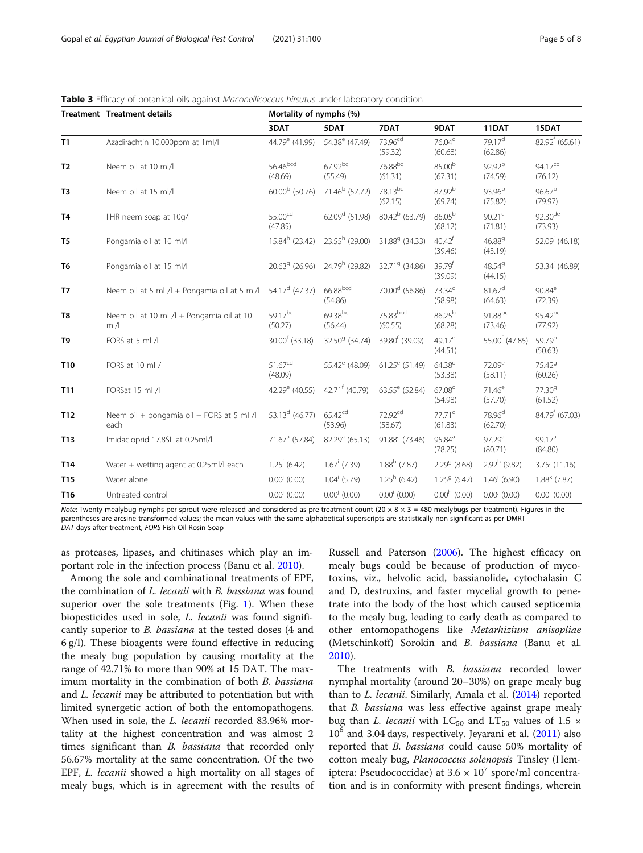|                 | <b>Treatment Treatment details</b>                            | Mortality of nymphs (%)        |                                |                                |                                 |                                 |                                |
|-----------------|---------------------------------------------------------------|--------------------------------|--------------------------------|--------------------------------|---------------------------------|---------------------------------|--------------------------------|
|                 |                                                               | 3DAT                           | 5DAT                           | 7DAT                           | 9DAT                            | 11DAT                           | 15DAT                          |
| T1              | Azadirachtin 10,000ppm at 1ml/l                               | 44.79 <sup>e</sup> (41.99)     | 54.38 <sup>e</sup> (47.49)     | $73.96^{cd}$<br>(59.32)        | 76.04 <sup>c</sup><br>(60.68)   | 79.17 <sup>d</sup><br>(62.86)   | $82.92^{f}$ (65.61)            |
| T <sub>2</sub>  | Neem oil at 10 ml/l                                           | 56.46bcd<br>(48.69)            | $67.92^{bc}$<br>(55.49)        | 76.88bc<br>(61.31)             | 85.00 <sup>b</sup><br>(67.31)   | 92.92 <sup>b</sup><br>(74.59)   | 94.17 <sup>cd</sup><br>(76.12) |
| T3              | Neem oil at 15 ml/l                                           | 60.00 <sup>b</sup> (50.76)     | 71.46 <sup>b</sup> (57.72)     | 78.13bc<br>(62.15)             | 87.92 <sup>b</sup><br>(69.74)   | 93.96 <sup>b</sup><br>(75.82)   | 96.67 <sup>b</sup><br>(79.97)  |
| T <sub>4</sub>  | IIHR neem soap at 10g/l                                       | 55.00 <sup>cd</sup><br>(47.85) | 62.09 $^d$ (51.98)             | $80.42^b$ (63.79)              | 86.05 <sup>b</sup><br>(68.12)   | 90.21 $^{\circ}$<br>(71.81)     | 92.30 <sup>de</sup><br>(73.93) |
| T <sub>5</sub>  | Pongamia oil at 10 ml/l                                       | $15.84^h$ (23.42)              | $23.55h$ (29.00)               | 31.88 <sup>9</sup> (34.33)     | $40.42$ <sup>f</sup><br>(39.46) | 46.889<br>(43.19)               | $52.09i$ (46.18)               |
| T <sub>6</sub>  | Pongamia oil at 15 ml/l                                       | $20.639$ (26.96)               | 24.79 <sup>h</sup> (29.82)     | 32.719 (34.86)                 | 39.79f<br>(39.09)               | 48.549<br>(44.15)               | 53.34 <sup>i</sup> (46.89)     |
| T7              | Neem oil at 5 ml /l + Pongamia oil at 5 ml/l                  | 54.17 <sup>d</sup> (47.37)     | 66.88bcd<br>(54.86)            | 70.00 <sup>d</sup> (56.86)     | $73.34^c$<br>(58.98)            | $81.67$ <sup>d</sup><br>(64.63) | $90.84^e$<br>(72.39)           |
| T <sub>8</sub>  | Neem oil at 10 ml /l + Pongamia oil at 10<br>$m$ <sub>/</sub> | 59.17bc<br>(50.27)             | 69.38bc<br>(56.44)             | 75.83bcd<br>(60.55)            | 86.25 <sup>b</sup><br>(68.28)   | 91.88bc<br>(73.46)              | $95.42^{bc}$<br>(77.92)        |
| T9              | FORS at 5 ml /l                                               | 30.00 <sup>f</sup> (33.18)     | 32.50 <sup>9</sup> (34.74)     | 39.80 <sup>f</sup> (39.09)     | $49.17^e$<br>(44.51)            | 55.00 <sup>f</sup> (47.85)      | 59.79h<br>(50.63)              |
| T <sub>10</sub> | FORS at 10 ml /l                                              | $51.67^{cd}$<br>(48.09)        | 55.42 <sup>e</sup> (48.09)     | $61.25^e$ (51.49)              | $64.38^{d}$<br>(53.38)          | $72.09^e$<br>(58.11)            | 75.42 <sup>9</sup><br>(60.26)  |
| T11             | FORSat 15 ml /l                                               | 42.29 <sup>e</sup> (40.55)     | 42.71 <sup>f</sup> (40.79)     | 63.55 <sup>e</sup> (52.84)     | 67.08 <sup>d</sup><br>(54.98)   | $71.46^e$<br>(57.70)            | 77.30 <sup>9</sup><br>(61.52)  |
| T <sub>12</sub> | Neem oil + pongamia oil + FORS at 5 ml /l<br>each             | 53.13 <sup>d</sup> (46.77)     | 65.42 <sup>cd</sup><br>(53.96) | 72.92 <sup>cd</sup><br>(58.67) | $77.71^c$<br>(61.83)            | 78.96 <sup>d</sup><br>(62.70)   | 84.79 <sup>f</sup> (67.03)     |
| T13             | Imidacloprid 17.8SL at 0.25ml/l                               | 71.67 <sup>a</sup> (57.84)     | $82.29a$ (65.13)               | 91.88 <sup>a</sup> (73.46)     | $95.84^{a}$<br>(78.25)          | 97.29 <sup>a</sup><br>(80.71)   | 99.17 <sup>a</sup><br>(84.80)  |
| T14             | Water + wetting agent at 0.25ml/l each                        | $1.25^{\mathrm{i}}$ (6.42)     | $1.67^{\mathrm{i}}$ (7.39)     | $1.88h$ (7.87)                 | $2.299$ (8.68)                  | $2.92h$ (9.82)                  | $3.75^{j}$ (11.16)             |
| T15             | Water alone                                                   | $0.00^{j}$ (0.00)              | $1.04^{i}$ (5.79)              | $1.25^h$ (6.42)                | $1.259$ (6.42)                  | $1.46^{\mathrm{i}}$ (6.90)      | $1.88k$ (7.87)                 |
| T <sub>16</sub> | Untreated control                                             | $0.00^{j}$ (0.00)              | $0.00^{j}$ (0.00)              | $0.00^{\dagger}$ (0.00)        | $0.00h$ (0.00)                  | $0.00^{j}$ (0.00)               | $0.00^{1}$ (0.00)              |

<span id="page-4-0"></span>Table 3 Efficacy of botanical oils against Maconellicoccus hirsutus under laboratory condition

Note: Twenty mealybug nymphs per sprout were released and considered as pre-treatment count (20  $\times$  8  $\times$  3 = 480 mealybugs per treatment). Figures in the parentheses are arcsine transformed values; the mean values with the same alphabetical superscripts are statistically non-significant as per DMRT DAT days after treatment, FORS Fish Oil Rosin Soap

as proteases, lipases, and chitinases which play an important role in the infection process (Banu et al. [2010\)](#page-7-0).

Among the sole and combinational treatments of EPF, the combination of L. lecanii with B. bassiana was found superior over the sole treatments (Fig. [1](#page-5-0)). When these biopesticides used in sole, L. lecanii was found significantly superior to B. bassiana at the tested doses (4 and 6 g/l). These bioagents were found effective in reducing the mealy bug population by causing mortality at the range of 42.71% to more than 90% at 15 DAT. The maximum mortality in the combination of both B. bassiana and *L. lecanii* may be attributed to potentiation but with limited synergetic action of both the entomopathogens. When used in sole, the *L. lecanii* recorded 83.96% mortality at the highest concentration and was almost 2 times significant than *B. bassiana* that recorded only 56.67% mortality at the same concentration. Of the two EPF, L. lecanii showed a high mortality on all stages of mealy bugs, which is in agreement with the results of

Russell and Paterson [\(2006\)](#page-7-0). The highest efficacy on mealy bugs could be because of production of mycotoxins, viz., helvolic acid, bassianolide, cytochalasin C and D, destruxins, and faster mycelial growth to penetrate into the body of the host which caused septicemia to the mealy bug, leading to early death as compared to other entomopathogens like Metarhizium anisopliae (Metschinkoff) Sorokin and B. bassiana (Banu et al. [2010](#page-7-0)).

The treatments with B. bassiana recorded lower nymphal mortality (around 20–30%) on grape mealy bug than to L. lecanii. Similarly, Amala et al. ([2014](#page-7-0)) reported that *B. bassiana* was less effective against grape mealy bug than *L. lecanii* with LC<sub>50</sub> and LT<sub>50</sub> values of 1.5  $\times$ 10<sup>6</sup> and 3.04 days, respectively. Jeyarani et al. ([2011](#page-7-0)) also reported that B. bassiana could cause 50% mortality of cotton mealy bug, Planococcus solenopsis Tinsley (Hemiptera: Pseudococcidae) at  $3.6 \times 10^7$  spore/ml concentration and is in conformity with present findings, wherein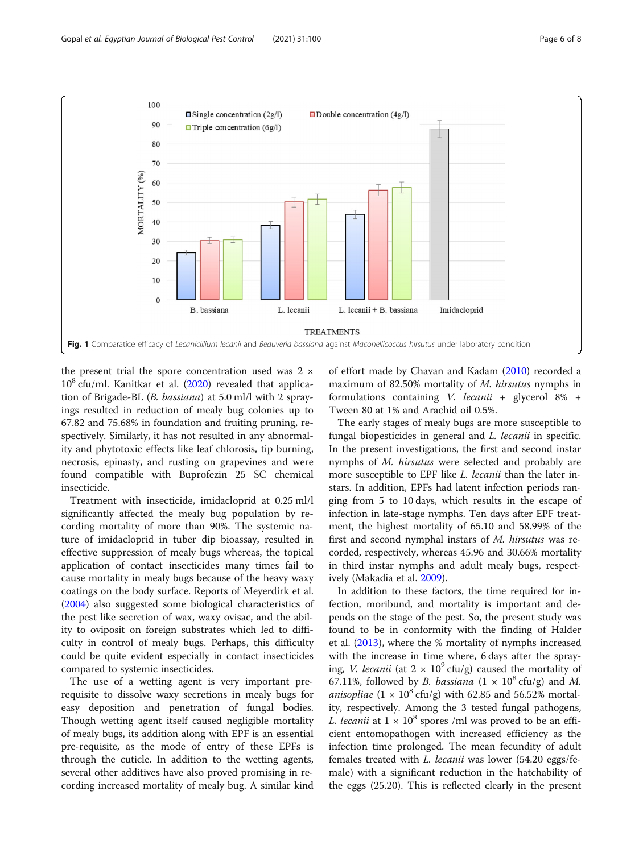<span id="page-5-0"></span>

the present trial the spore concentration used was  $2 \times$  $10^8$  cfu/ml. Kanitkar et al. [\(2020\)](#page-7-0) revealed that application of Brigade-BL (B. bassiana) at 5.0 ml/l with 2 sprayings resulted in reduction of mealy bug colonies up to 67.82 and 75.68% in foundation and fruiting pruning, respectively. Similarly, it has not resulted in any abnormality and phytotoxic effects like leaf chlorosis, tip burning, necrosis, epinasty, and rusting on grapevines and were found compatible with Buprofezin 25 SC chemical insecticide.

Treatment with insecticide, imidacloprid at 0.25 ml/l significantly affected the mealy bug population by recording mortality of more than 90%. The systemic nature of imidacloprid in tuber dip bioassay, resulted in effective suppression of mealy bugs whereas, the topical application of contact insecticides many times fail to cause mortality in mealy bugs because of the heavy waxy coatings on the body surface. Reports of Meyerdirk et al. ([2004](#page-7-0)) also suggested some biological characteristics of the pest like secretion of wax, waxy ovisac, and the ability to oviposit on foreign substrates which led to difficulty in control of mealy bugs. Perhaps, this difficulty could be quite evident especially in contact insecticides compared to systemic insecticides.

The use of a wetting agent is very important prerequisite to dissolve waxy secretions in mealy bugs for easy deposition and penetration of fungal bodies. Though wetting agent itself caused negligible mortality of mealy bugs, its addition along with EPF is an essential pre-requisite, as the mode of entry of these EPFs is through the cuticle. In addition to the wetting agents, several other additives have also proved promising in recording increased mortality of mealy bug. A similar kind

of effort made by Chavan and Kadam [\(2010\)](#page-7-0) recorded a maximum of 82.50% mortality of M. hirsutus nymphs in formulations containing V. lecanii + glycerol 8% + Tween 80 at 1% and Arachid oil 0.5%.

The early stages of mealy bugs are more susceptible to fungal biopesticides in general and *L. lecanii* in specific. In the present investigations, the first and second instar nymphs of M. hirsutus were selected and probably are more susceptible to EPF like *L. lecanii* than the later instars. In addition, EPFs had latent infection periods ranging from 5 to 10 days, which results in the escape of infection in late-stage nymphs. Ten days after EPF treatment, the highest mortality of 65.10 and 58.99% of the first and second nymphal instars of M. hirsutus was recorded, respectively, whereas 45.96 and 30.66% mortality in third instar nymphs and adult mealy bugs, respectively (Makadia et al. [2009](#page-7-0)).

In addition to these factors, the time required for infection, moribund, and mortality is important and depends on the stage of the pest. So, the present study was found to be in conformity with the finding of Halder et al. ([2013\)](#page-7-0), where the % mortality of nymphs increased with the increase in time where, 6 days after the spraying, *V. lecanii* (at  $2 \times 10^9$  cfu/g) caused the mortality of 67.11%, followed by *B. bassiana*  $(1 \times 10^8 \text{ cfta/g})$  and *M. anisopliae*  $(1 \times 10^8 \text{ cftg})$  with 62.85 and 56.52% mortality, respectively. Among the 3 tested fungal pathogens, *L. lecanii* at  $1 \times 10^8$  spores /ml was proved to be an efficient entomopathogen with increased efficiency as the infection time prolonged. The mean fecundity of adult females treated with L. lecanii was lower (54.20 eggs/female) with a significant reduction in the hatchability of the eggs (25.20). This is reflected clearly in the present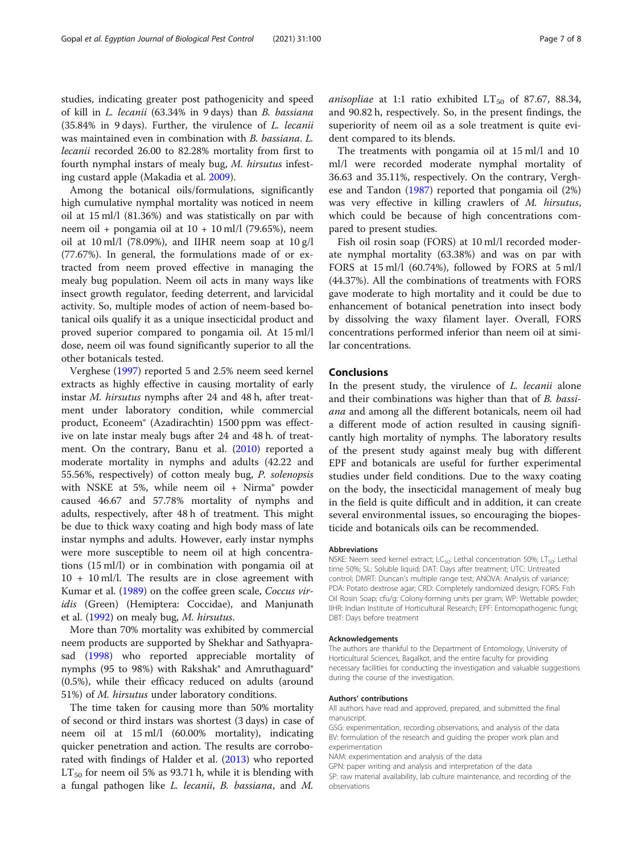studies, indicating greater post pathogenicity and speed of kill in L. lecanii (63.34% in 9 days) than B. bassiana (35.84% in 9 days). Further, the virulence of L. lecanii was maintained even in combination with B. bassiana. L. lecanii recorded 26.00 to 82.28% mortality from first to fourth nymphal instars of mealy bug, M. hirsutus infest-

ing custard apple (Makadia et al. [2009](#page-7-0)). Among the botanical oils/formulations, significantly high cumulative nymphal mortality was noticed in neem oil at 15 ml/l (81.36%) and was statistically on par with neem oil + pongamia oil at  $10 + 10$  ml/l (79.65%), neem oil at  $10 \text{ ml/l}$  (78.09%), and IIHR neem soap at  $10 \text{ g/l}$ (77.67%). In general, the formulations made of or extracted from neem proved effective in managing the mealy bug population. Neem oil acts in many ways like insect growth regulator, feeding deterrent, and larvicidal activity. So, multiple modes of action of neem-based botanical oils qualify it as a unique insecticidal product and proved superior compared to pongamia oil. At 15 ml/l dose, neem oil was found significantly superior to all the other botanicals tested.

Verghese [\(1997\)](#page-7-0) reported 5 and 2.5% neem seed kernel extracts as highly effective in causing mortality of early instar M. hirsutus nymphs after 24 and 48 h, after treatment under laboratory condition, while commercial product, Econeem® (Azadirachtin) 1500 ppm was effective on late instar mealy bugs after 24 and 48 h. of treatment. On the contrary, Banu et al. [\(2010](#page-7-0)) reported a moderate mortality in nymphs and adults (42.22 and 55.56%, respectively) of cotton mealy bug, P. solenopsis with NSKE at 5%, while neem oil + Nirma® powder caused 46.67 and 57.78% mortality of nymphs and adults, respectively, after 48 h of treatment. This might be due to thick waxy coating and high body mass of late instar nymphs and adults. However, early instar nymphs were more susceptible to neem oil at high concentrations (15 ml/l) or in combination with pongamia oil at 10 + 10 ml/l. The results are in close agreement with Kumar et al. [\(1989](#page-7-0)) on the coffee green scale, Coccus viridis (Green) (Hemiptera: Coccidae), and Manjunath et al. [\(1992](#page-7-0)) on mealy bug, M. hirsutus.

More than 70% mortality was exhibited by commercial neem products are supported by Shekhar and Sathyaprasad ([1998](#page-7-0)) who reported appreciable mortality of nymphs (95 to 98%) with Rakshak® and Amruthaguard® (0.5%), while their efficacy reduced on adults (around 51%) of M. hirsutus under laboratory conditions.

The time taken for causing more than 50% mortality of second or third instars was shortest (3 days) in case of neem oil at 15 ml/l (60.00% mortality), indicating quicker penetration and action. The results are corroborated with findings of Halder et al. [\(2013](#page-7-0)) who reported  $LT_{50}$  for neem oil 5% as 93.71 h, while it is blending with a fungal pathogen like L. lecanii, B. bassiana, and M.

anisopliae at 1:1 ratio exhibited  $LT_{50}$  of 87.67, 88.34, and 90.82 h, respectively. So, in the present findings, the superiority of neem oil as a sole treatment is quite evident compared to its blends.

The treatments with pongamia oil at 15 ml/l and 10 ml/l were recorded moderate nymphal mortality of 36.63 and 35.11%, respectively. On the contrary, Verghese and Tandon [\(1987](#page-7-0)) reported that pongamia oil (2%) was very effective in killing crawlers of M. hirsutus, which could be because of high concentrations compared to present studies.

Fish oil rosin soap (FORS) at 10 ml/l recorded moderate nymphal mortality (63.38%) and was on par with FORS at 15 ml/l (60.74%), followed by FORS at 5 ml/l (44.37%). All the combinations of treatments with FORS gave moderate to high mortality and it could be due to enhancement of botanical penetration into insect body by dissolving the waxy filament layer. Overall, FORS concentrations performed inferior than neem oil at similar concentrations.

# Conclusions

In the present study, the virulence of L. lecanii alone and their combinations was higher than that of B. bassiana and among all the different botanicals, neem oil had a different mode of action resulted in causing significantly high mortality of nymphs. The laboratory results of the present study against mealy bug with different EPF and botanicals are useful for further experimental studies under field conditions. Due to the waxy coating on the body, the insecticidal management of mealy bug in the field is quite difficult and in addition, it can create several environmental issues, so encouraging the biopesticide and botanicals oils can be recommended.

#### Abbreviations

NSKE: Neem seed kernel extract; LC<sub>50</sub>: Lethal concentration 50%; LT<sub>50</sub>: Lethal time 50%; SL: Soluble liquid; DAT: Days after treatment; UTC: Untreated control; DMRT: Duncan's multiple range test; ANOVA: Analysis of variance; PDA: Potato dextrose agar; CRD: Completely randomized design; FORS: Fish Oil Rosin Soap; cfu/g: Colony-forming units per gram; WP: Wettable powder; IIHR: Indian Institute of Horticultural Research; EPF: Entomopathogenic fungi; DBT: Days before treatment

#### Acknowledgements

The authors are thankful to the Department of Entomology, University of Horticultural Sciences, Bagalkot, and the entire faculty for providing necessary facilities for conducting the investigation and valuable suggestions during the course of the investigation.

#### Authors' contributions

All authors have read and approved, prepared, and submitted the final manuscript.

GSG: experimentation, recording observations, and analysis of the data BV: formulation of the research and guiding the proper work plan and experimentation

NAM: experimentation and analysis of the data

GPN: paper writing and analysis and interpretation of the data SP: raw material availability, lab culture maintenance, and recording of the observations